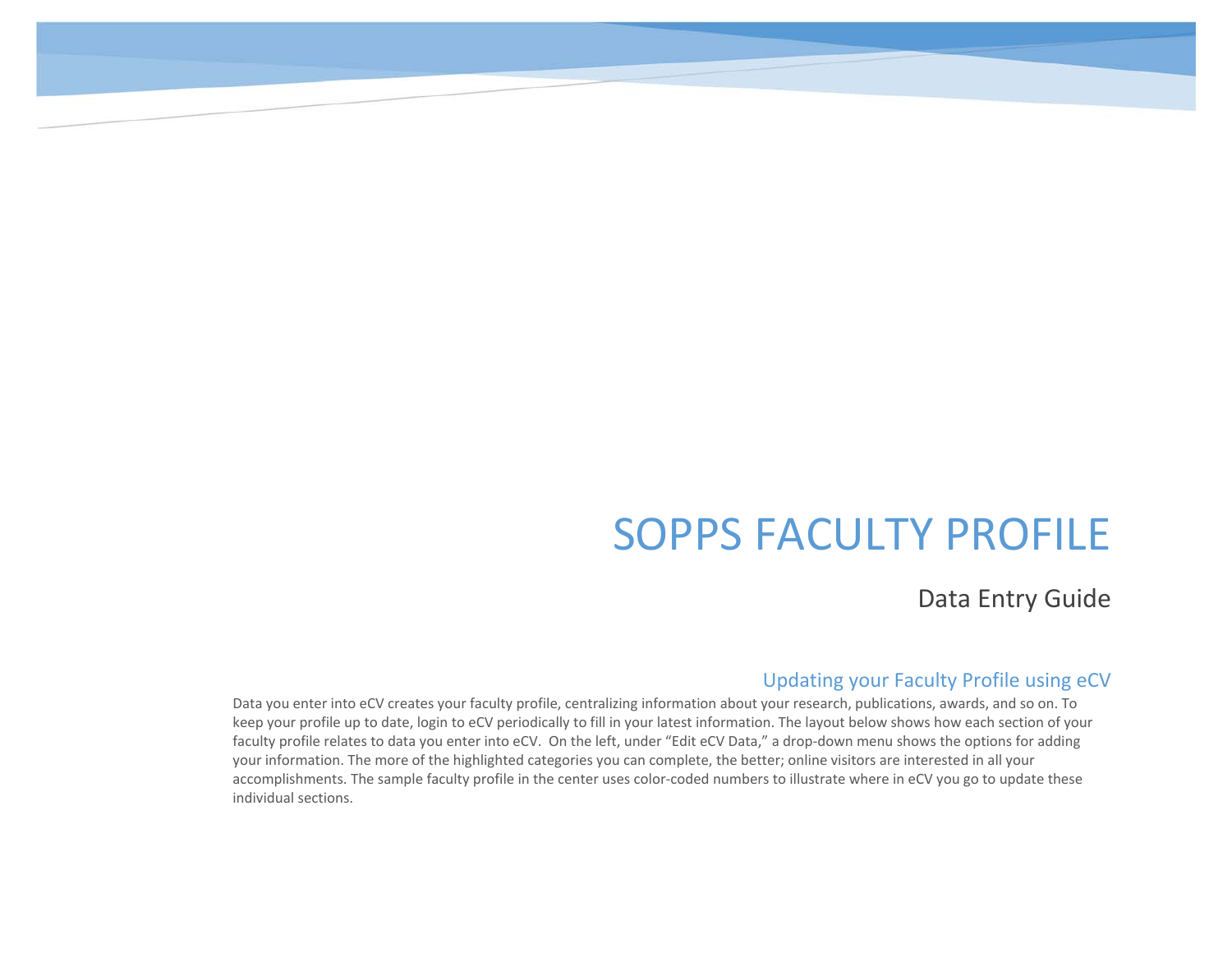# SOPPS FACULTY PROFILE

Data Entry Guide

## Updating your Faculty Profile using eCV

Data you enter into eCV creates your faculty profile, centralizing information about your research, publications, awards, and so on. To keep your profile up to date, login to eCV periodically to fill in your latest information. The layout below shows how each section of your faculty profile relates to data you enter into eCV. On the left, under "Edit eCV Data," a drop-down menu shows the options for adding your information. The more of the highlighted categories you can complete, the better; online visitors are interested in all your accomplishments. The sample faculty profile in the center uses color-coded numbers to illustrate where in eCV you go to update these individual sections.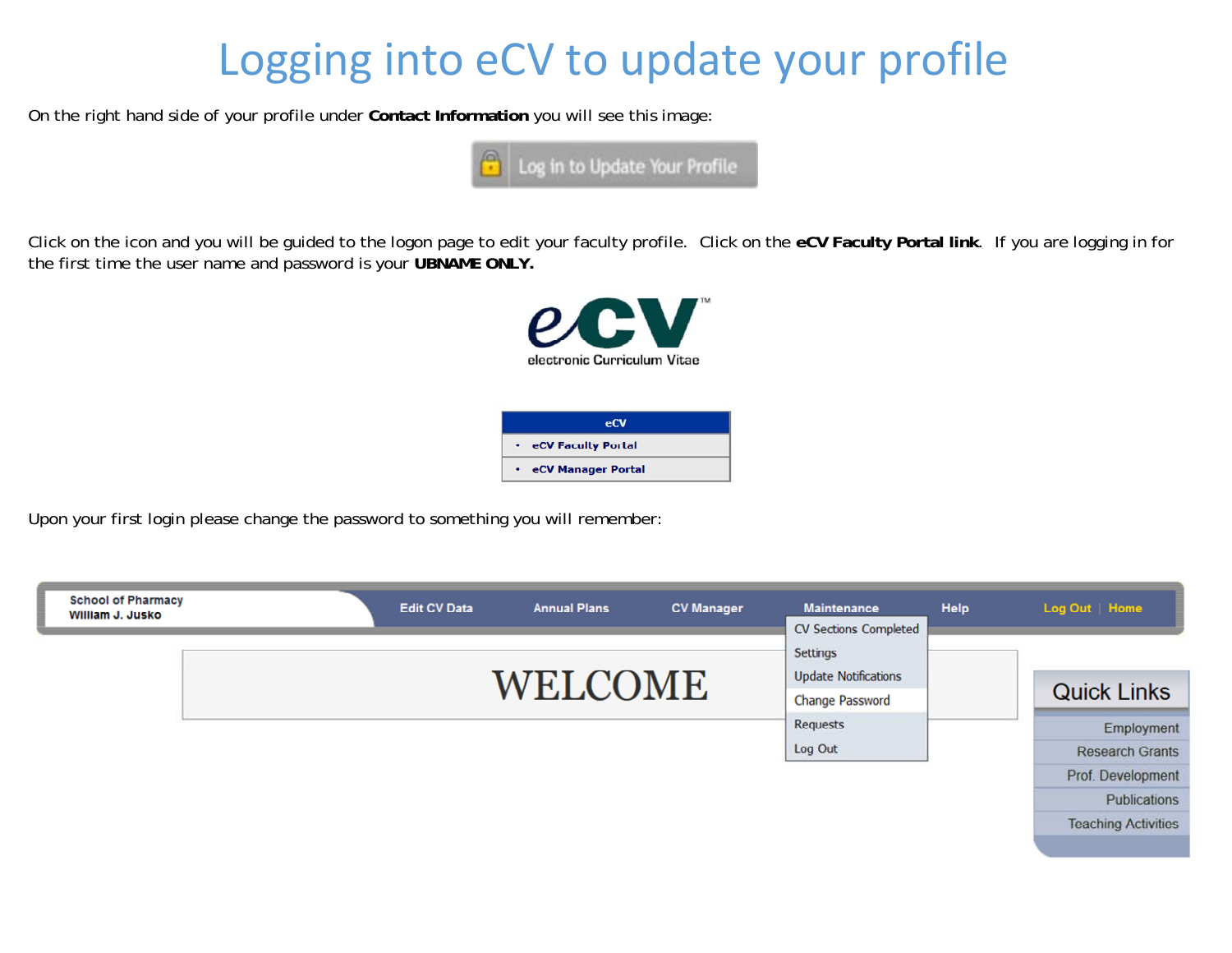# Logging into eCV to update your profile

On the right hand side of your profile under **Contact Information** you will see this image:



Click on the icon and you will be guided to the logon page to edit your faculty profile. Click on the **eCV Faculty Portal link**. If you are logging in for the first time the user name and password is your **UBNAME ONLY.**



Upon your first login please change the password to something you will remember:

| <b>School of Pharmacy</b><br>William J. Jusko | <b>Edit CV Data</b> | <b>Annual Plans</b> | <b>CV Manager</b> | <b>Maintenance</b><br>CV Sections Completed | <b>Help</b> | Log Out   Home             |
|-----------------------------------------------|---------------------|---------------------|-------------------|---------------------------------------------|-------------|----------------------------|
|                                               |                     |                     |                   | Settings                                    |             |                            |
|                                               |                     | WELCOME             |                   | <b>Update Notifications</b>                 |             | <b>Quick Links</b>         |
|                                               |                     |                     |                   | <b>Change Password</b>                      |             |                            |
|                                               |                     |                     |                   | Requests                                    |             | Employment                 |
|                                               |                     |                     |                   | Log Out                                     |             | <b>Research Grants</b>     |
|                                               |                     |                     |                   |                                             |             | Prof. Development          |
|                                               |                     |                     |                   |                                             |             | Publications               |
|                                               |                     |                     |                   |                                             |             | <b>Teaching Activities</b> |
|                                               |                     |                     |                   |                                             |             |                            |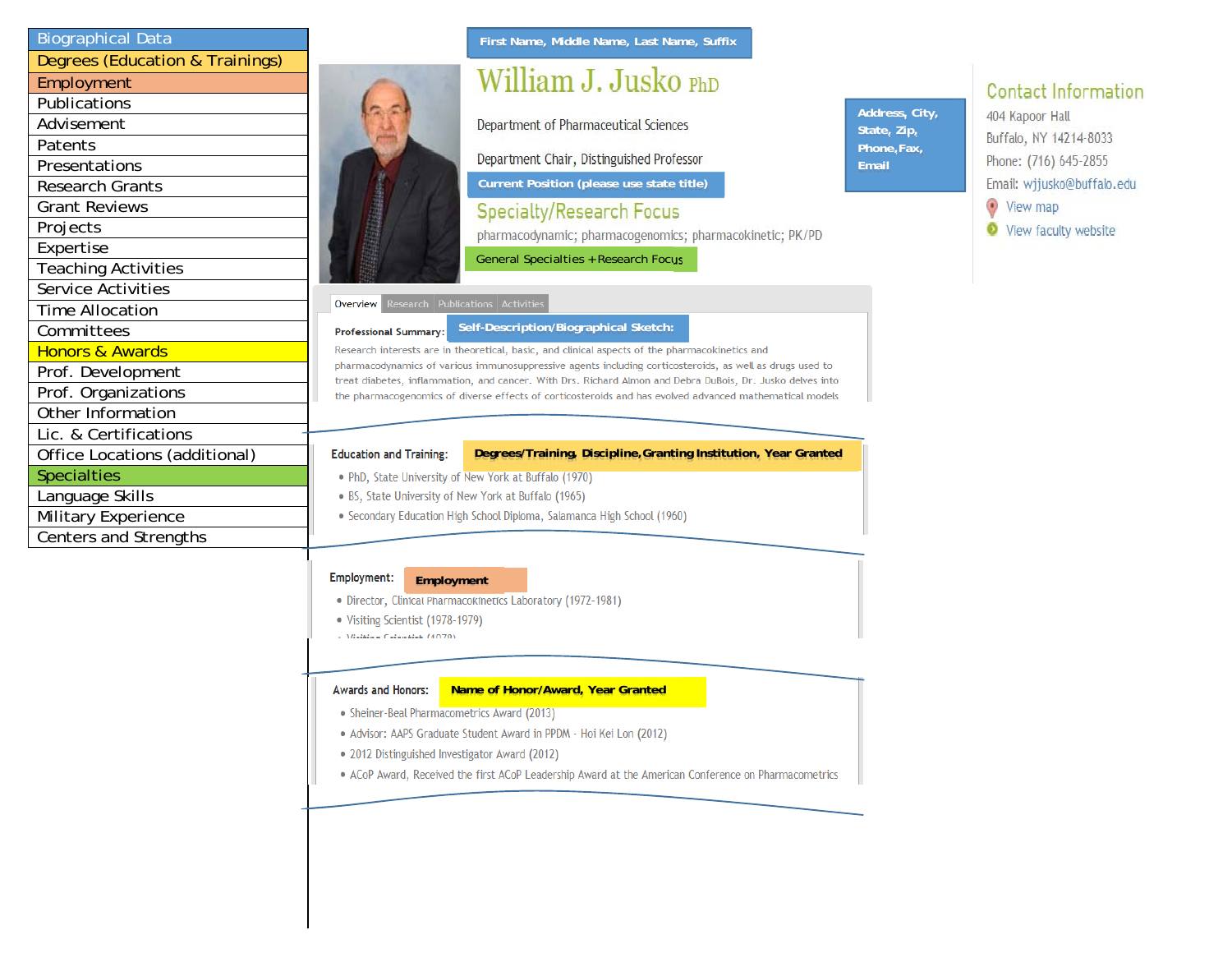| <b>Biographical Data</b>        |  |
|---------------------------------|--|
| Degrees (Education & Trainings) |  |
| Employment                      |  |
| Publications                    |  |
| Advisement                      |  |
| Patents                         |  |
| Presentations                   |  |
| <b>Research Grants</b>          |  |
| <b>Grant Reviews</b>            |  |
| Projects                        |  |
| Expertise                       |  |
| <b>Teaching Activities</b>      |  |
| Service Activities              |  |
| <b>Time Allocation</b>          |  |
| Committees                      |  |
| <b>Honors &amp; Awards</b>      |  |
| Prof. Development               |  |
| Prof. Organizations             |  |
| Other Information               |  |
| Lic. & Certifications           |  |
| Office Locations (additional)   |  |
| <b>Specialties</b>              |  |
| Language Skills                 |  |
| Military Experience             |  |
| Centers and Strengths           |  |

### **First Name, Middle Name, Last Name, Suffix**

# William J. Jusko PhD

Department of Pharmaceutical Sciences

Department Chair, Distinguished Professor

**Current Position (please use state title)**

**Specialty/Research Focus** 

pharmacodynamic; pharmacogenomics; pharmacokinetic; PK/PD

General Specialties + Research Focus

#### Research Publications Activities Overview

#### **Self-Description/Biographical Sketch: Professional Summary:**

Research interests are in theoretical, basic, and clinical aspects of the pharmacokinetics and pharmacodynamics of various immunosuppressive agents including corticosteroids, as well as drugs used to treat diabetes, inflammation, and cancer. With Drs. Richard Almon and Debra DuBois, Dr. Jusko delves into the pharmacogenomics of diverse effects of corticosteroids and has evolved advanced mathematical models

#### **Education and Training:**

#### **Degrees/Training, Discipline,Granting Institution, Year Granted**

- . PhD, State University of New York at Buffalo (1970)
- . BS, State University of New York at Buffalo (1965)
- Secondary Education High School Diploma, Salamanca High School (1960)

#### Employment: **Employment**

- · Director, Clinical Pharmacokinetics Laboratory (1972-1981)
- Visiting Scientist (1978-1979)
- **CARLING CALCULATION**

#### **Awards and Honors: Name of Honor/Award, Year Granted**

- Sheiner-Beal Pharmacometrics Award (2013)
- Advisor: AAPS Graduate Student Award in PPDM Hoi Kei Lon (2012)
- . 2012 Distinguished Investigator Award (2012)
- . ACoP Award, Received the first ACoP Leadership Award at the American Conference on Pharmacometrics

### **Address, City, State, Zip, Phone,Fax, Email**

# **Contact Information**

404 Kapoor Hall Buffalo, NY 14214-8033 Phone: (716) 645-2855 Email: wjjusko@buffalo.edu View map View faculty website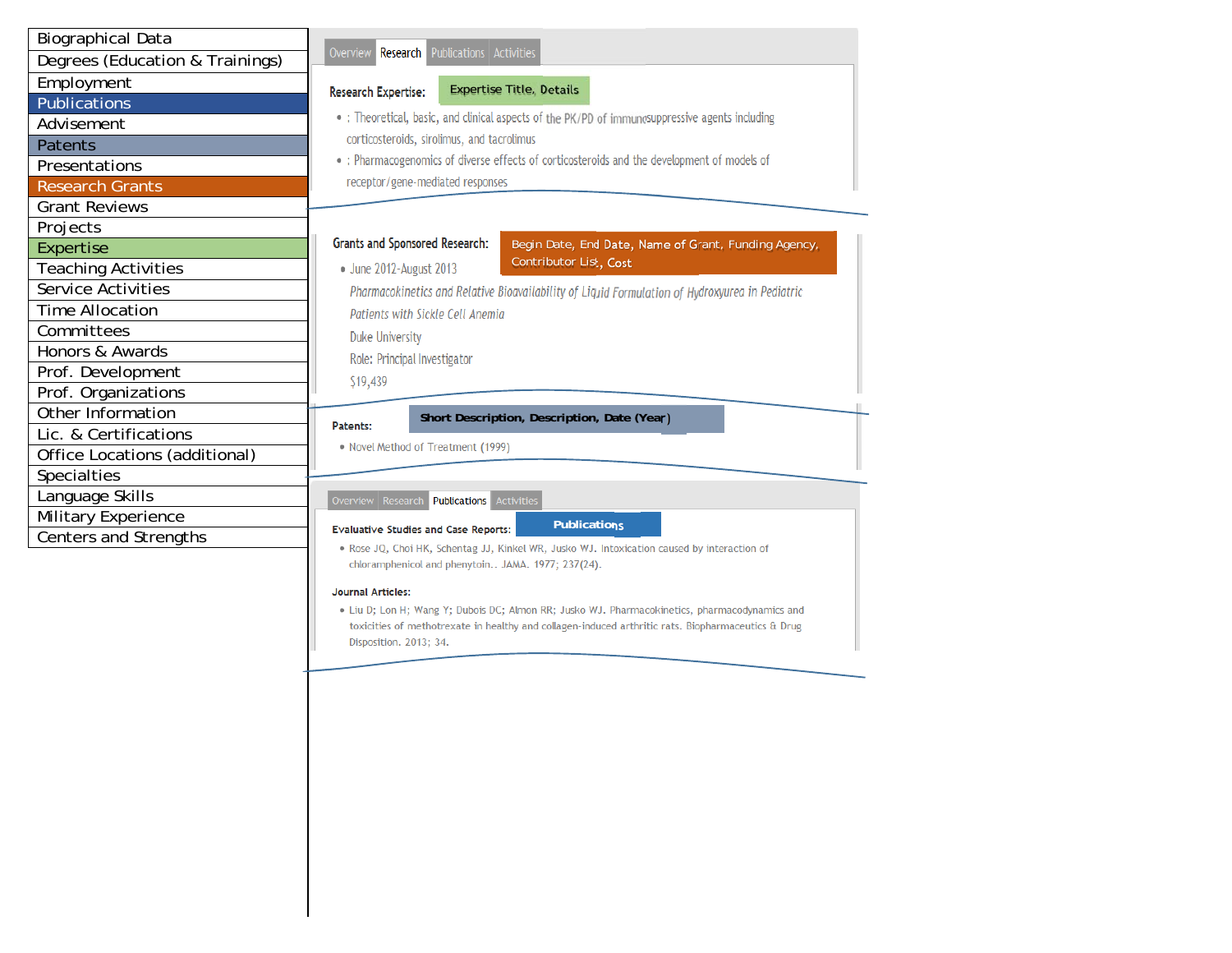| <b>Biographical Data</b>                                                                                             |                                                                                                                         |  |  |  |  |
|----------------------------------------------------------------------------------------------------------------------|-------------------------------------------------------------------------------------------------------------------------|--|--|--|--|
| Degrees (Education & Trainings)                                                                                      | Overview Research Publications Activities                                                                               |  |  |  |  |
| Employment                                                                                                           | <b>Expertise Title, Details</b><br><b>Research Expertise:</b>                                                           |  |  |  |  |
| <b>Publications</b>                                                                                                  |                                                                                                                         |  |  |  |  |
| Advisement                                                                                                           | • : Theoretical, basic, and clinical aspects of the PK/PD of immunosuppressive agents including                         |  |  |  |  |
| <b>Patents</b>                                                                                                       | corticosteroids, sirolimus, and tacrolimus                                                                              |  |  |  |  |
| Presentations                                                                                                        | • : Pharmacogenomics of diverse effects of corticosteroids and the development of models of                             |  |  |  |  |
| <b>Research Grants</b>                                                                                               | receptor/gene-mediated responses                                                                                        |  |  |  |  |
| <b>Grant Reviews</b>                                                                                                 |                                                                                                                         |  |  |  |  |
| Projects                                                                                                             |                                                                                                                         |  |  |  |  |
| Expertise                                                                                                            | <b>Grants and Sponsored Research:</b><br>Begin Date, End Date, Name of Grant, Funding Agency,<br>Contributor List, Cost |  |  |  |  |
| <b>Teaching Activities</b>                                                                                           | • June 2012-August 2013                                                                                                 |  |  |  |  |
| Service Activities                                                                                                   | Pharmacokinetics and Relative Bioavailability of Liquid Formulation of Hydroxyurea in Pediatric                         |  |  |  |  |
| Time Allocation                                                                                                      | Patients with Sickle Cell Anemia                                                                                        |  |  |  |  |
| Committees                                                                                                           | <b>Duke University</b>                                                                                                  |  |  |  |  |
| Honors & Awards                                                                                                      | Role: Principal Investigator                                                                                            |  |  |  |  |
| Prof. Development                                                                                                    | \$19,439                                                                                                                |  |  |  |  |
| Prof. Organizations                                                                                                  |                                                                                                                         |  |  |  |  |
| Other Information                                                                                                    | Short Description, Description, Date (Year)<br>Patents:                                                                 |  |  |  |  |
| Lic. & Certifications                                                                                                | • Novel Method of Treatment (1999)                                                                                      |  |  |  |  |
| Office Locations (additional)                                                                                        |                                                                                                                         |  |  |  |  |
| <b>Specialties</b>                                                                                                   |                                                                                                                         |  |  |  |  |
| Language Skills                                                                                                      | Overview Research <b>Publications</b> Activities                                                                        |  |  |  |  |
| Military Experience                                                                                                  | <b>Publications</b><br><b>Evaluative Studies and Case Reports:</b>                                                      |  |  |  |  |
| Centers and Strengths<br>. Rose JQ, Choi HK, Schentag JJ, Kinkel WR, Jusko WJ. Intoxication caused by interaction of |                                                                                                                         |  |  |  |  |
|                                                                                                                      | chloramphenicol and phenytoin JAMA. 1977; 237(24).                                                                      |  |  |  |  |

#### **Journal Articles:**

· Liu D; Lon H; Wang Y; Dubois DC; Almon RR; Jusko WJ. Pharmacokinetics, pharmacodynamics and toxicities of methotrexate in healthy and collagen-induced arthritic rats. Biopharmaceutics & Drug Disposition. 2013; 34.